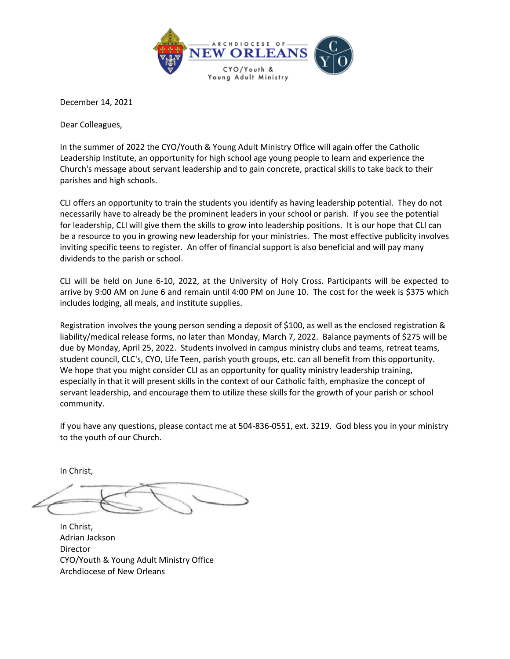

December 14, 2021

Dear Colleagues,

In the summer of 2022 the CYO/Youth & Young Adult Ministry Office will again offer the Catholic Leadership Institute, an opportunity for high school age young people to learn and experience the Church's message about servant leadership and to gain concrete, practical skills to take back to their parishes and high schools.

CLI offers an opportunity to train the students you identify as having leadership potential. They do not necessarily have to already be the prominent leaders in your school or parish. If you see the potential for leadership, CLI will give them the skills to grow into leadership positions. It is our hope that CLI can be a resource to you in growing new leadership for your ministries. The most effective publicity involves inviting specific teens to register. An offer of financial support is also beneficial and will pay many dividends to the parish or school.

CLI will be held on June 6-10, 2022, at the University of Holy Cross. Participants will be expected to arrive by 9:00 AM on June 6 and remain until 4:00 PM on June 10. The cost for the week is \$375 which includes lodging, all meals, and institute supplies.

Registration involves the young person sending a deposit of \$100, as well as the enclosed registration & liability/medical release forms, no later than Monday, March 7, 2022. Balance payments of \$275 will be due by Monday, April 25, 2022. Students involved in campus ministry clubs and teams, retreat teams, student council, CLC's, CYO, Life Teen, parish youth groups, etc. can all benefit from this opportunity. We hope that you might consider CLI as an opportunity for quality ministry leadership training, especially in that it will present skills in the context of our Catholic faith, emphasize the concept of servant leadership, and encourage them to utilize these skills for the growth of your parish or school community.

If you have any questions, please contact me at 504-836-0551, ext. 3219. God bless you in your ministry to the youth of our Church.

In Christ,

In Christ, Adrian Jackson Director CYO/Youth & Young Adult Ministry Office Archdiocese of New Orleans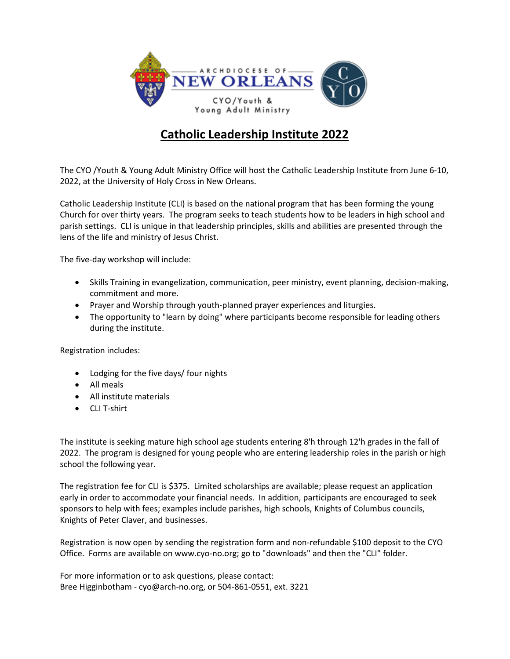

# **Catholic Leadership Institute 2022**

The CYO /Youth & Young Adult Ministry Office will host the Catholic Leadership Institute from June 6-10, 2022, at the University of Holy Cross in New Orleans.

Catholic Leadership Institute (CLI) is based on the national program that has been forming the young Church for over thirty years. The program seeks to teach students how to be leaders in high school and parish settings. CLI is unique in that leadership principles, skills and abilities are presented through the lens of the life and ministry of Jesus Christ.

The five-day workshop will include:

- Skills Training in evangelization, communication, peer ministry, event planning, decision-making, commitment and more.
- Prayer and Worship through youth-planned prayer experiences and liturgies.
- The opportunity to "learn by doing" where participants become responsible for leading others during the institute.

Registration includes:

- Lodging for the five days/ four nights
- All meals
- All institute materials
- CLI T-shirt

The institute is seeking mature high school age students entering 8'h through 12'h grades in the fall of 2022. The program is designed for young people who are entering leadership roles in the parish or high school the following year.

The registration fee for CLI is \$375. Limited scholarships are available; please request an application early in order to accommodate your financial needs. In addition, participants are encouraged to seek sponsors to help with fees; examples include parishes, high schools, Knights of Columbus councils, Knights of Peter Claver, and businesses.

Registration is now open by sending the registration form and non-refundable \$100 deposit to the CYO Office. Forms are available on www.cyo-no.org; go to "downloads" and then the "CLI" folder.

For more information or to ask questions, please contact: Bree Higginbotham - cyo@arch-no.org, or 504-861-0551, ext. 3221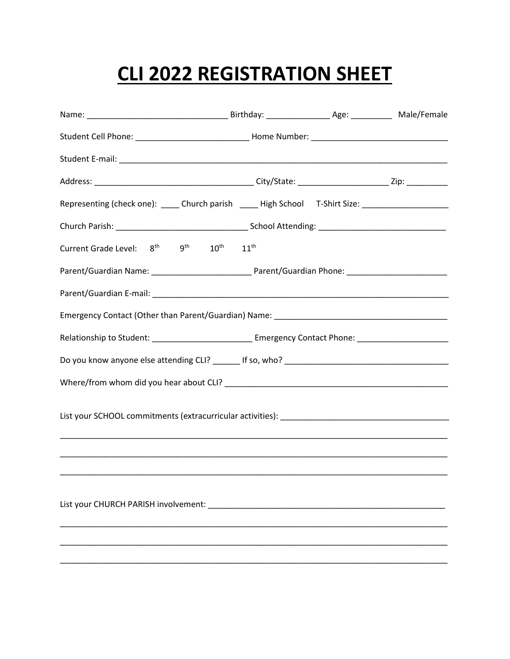# CLI 2022 REGISTRATION SHEET

| Representing (check one): _____ Church parish _____ High School T-Shirt Size: _____________________             |  |  |
|-----------------------------------------------------------------------------------------------------------------|--|--|
|                                                                                                                 |  |  |
| Current Grade Level: $8^{\text{th}}$ 9 <sup>th</sup> 10 <sup>th</sup> 11 <sup>th</sup>                          |  |  |
|                                                                                                                 |  |  |
|                                                                                                                 |  |  |
|                                                                                                                 |  |  |
| Relationship to Student: __________________________________ Emergency Contact Phone: ________________________   |  |  |
|                                                                                                                 |  |  |
|                                                                                                                 |  |  |
|                                                                                                                 |  |  |
|                                                                                                                 |  |  |
|                                                                                                                 |  |  |
|                                                                                                                 |  |  |
| List your CHURCH PARISH involvement: National Contract of the Contract of the Contract of the Contract of the C |  |  |
|                                                                                                                 |  |  |
|                                                                                                                 |  |  |
|                                                                                                                 |  |  |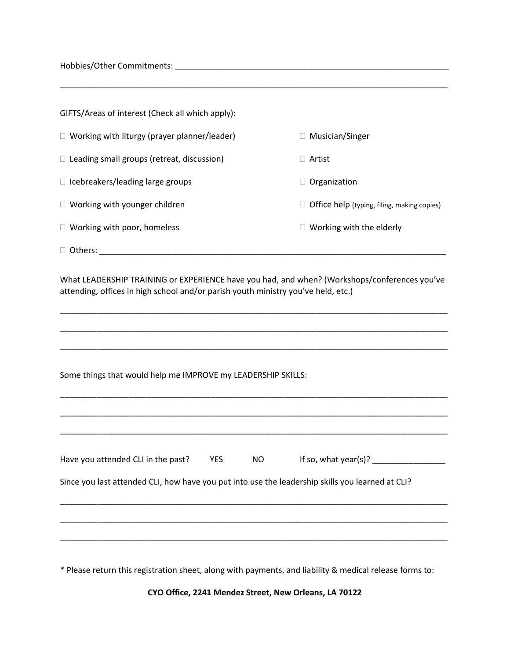Hobbies/Other Commitments: \_\_\_\_\_\_\_\_\_\_\_\_\_\_\_\_\_\_\_\_\_\_\_\_\_\_\_\_\_\_\_\_\_\_\_\_\_\_\_\_\_\_\_\_\_\_\_\_\_\_\_\_\_\_\_\_\_\_\_\_

| GIFTS/Areas of interest (Check all which apply):    |                                             |
|-----------------------------------------------------|---------------------------------------------|
| $\Box$ Working with liturgy (prayer planner/leader) | Musician/Singer                             |
| $\Box$ Leading small groups (retreat, discussion)   | Artist                                      |
| $\Box$ Icebreakers/leading large groups             | Organization                                |
| $\Box$ Working with younger children                | Office help (typing, filing, making copies) |
| $\Box$ Working with poor, homeless                  | Working with the elderly                    |
| Others:                                             |                                             |

What LEADERSHIP TRAINING or EXPERIENCE have you had, and when? (Workshops/conferences you've attending, offices in high school and/or parish youth ministry you've held, etc.)

\_\_\_\_\_\_\_\_\_\_\_\_\_\_\_\_\_\_\_\_\_\_\_\_\_\_\_\_\_\_\_\_\_\_\_\_\_\_\_\_\_\_\_\_\_\_\_\_\_\_\_\_\_\_\_\_\_\_\_\_\_\_\_\_\_\_\_\_\_\_\_\_\_\_\_\_\_\_\_\_\_\_\_\_\_

\_\_\_\_\_\_\_\_\_\_\_\_\_\_\_\_\_\_\_\_\_\_\_\_\_\_\_\_\_\_\_\_\_\_\_\_\_\_\_\_\_\_\_\_\_\_\_\_\_\_\_\_\_\_\_\_\_\_\_\_\_\_\_\_\_\_\_\_\_\_\_\_\_\_\_\_\_\_\_\_\_\_\_\_\_

\_\_\_\_\_\_\_\_\_\_\_\_\_\_\_\_\_\_\_\_\_\_\_\_\_\_\_\_\_\_\_\_\_\_\_\_\_\_\_\_\_\_\_\_\_\_\_\_\_\_\_\_\_\_\_\_\_\_\_\_\_\_\_\_\_\_\_\_\_\_\_\_\_\_\_\_\_\_\_\_\_\_\_\_\_

\_\_\_\_\_\_\_\_\_\_\_\_\_\_\_\_\_\_\_\_\_\_\_\_\_\_\_\_\_\_\_\_\_\_\_\_\_\_\_\_\_\_\_\_\_\_\_\_\_\_\_\_\_\_\_\_\_\_\_\_\_\_\_\_\_\_\_\_\_\_\_\_\_\_\_\_\_\_\_\_\_\_\_\_\_

Some things that would help me IMPROVE my LEADERSHIP SKILLS:

| Have you attended CLI in the past?                                                               | <b>YES</b> | <b>NO</b> | If so, what year(s)? $\frac{1}{2}$ |
|--------------------------------------------------------------------------------------------------|------------|-----------|------------------------------------|
| Since you last attended CLI, how have you put into use the leadership skills you learned at CLI? |            |           |                                    |
|                                                                                                  |            |           |                                    |
|                                                                                                  |            |           |                                    |

\* Please return this registration sheet, along with payments, and liability & medical release forms to:

**CYO Office, 2241 Mendez Street, New Orleans, LA 70122**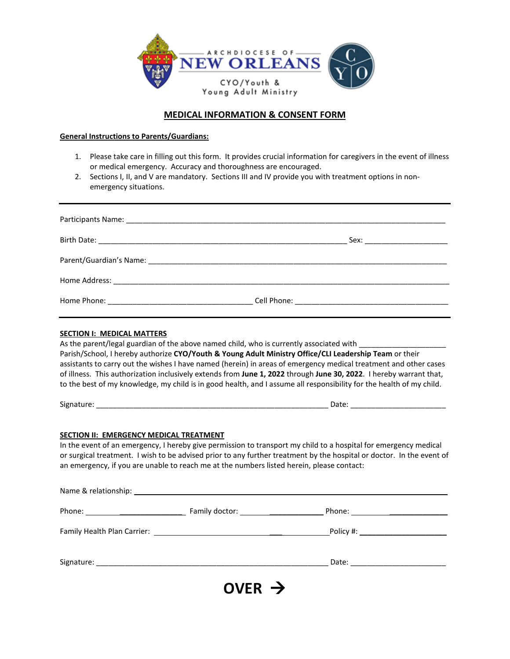

# **MEDICAL INFORMATION & CONSENT FORM**

#### **General Instructions to Parents/Guardians:**

- 1. Please take care in filling out this form. It provides crucial information for caregivers in the event of illness or medical emergency. Accuracy and thoroughness are encouraged.
- 2. Sections I, II, and V are mandatory. Sections III and IV provide you with treatment options in nonemergency situations.

| <b>SECTION I: MEDICAL MATTERS</b>                                                                                                           | As the parent/legal guardian of the above named child, who is currently associated with _________<br>Parish/School, I hereby authorize CYO/Youth & Young Adult Ministry Office/CLI Leadership Team or their<br>assistants to carry out the wishes I have named (herein) in areas of emergency medical treatment and other cases<br>of illness. This authorization inclusively extends from June 1, 2022 through June 30, 2022. I hereby warrant that,<br>to the best of my knowledge, my child is in good health, and I assume all responsibility for the health of my child. |
|---------------------------------------------------------------------------------------------------------------------------------------------|-------------------------------------------------------------------------------------------------------------------------------------------------------------------------------------------------------------------------------------------------------------------------------------------------------------------------------------------------------------------------------------------------------------------------------------------------------------------------------------------------------------------------------------------------------------------------------|
|                                                                                                                                             |                                                                                                                                                                                                                                                                                                                                                                                                                                                                                                                                                                               |
| <b>SECTION II: EMERGENCY MEDICAL TREATMENT</b><br>an emergency, if you are unable to reach me at the numbers listed herein, please contact: | In the event of an emergency, I hereby give permission to transport my child to a hospital for emergency medical<br>or surgical treatment. I wish to be advised prior to any further treatment by the hospital or doctor. In the event of                                                                                                                                                                                                                                                                                                                                     |
|                                                                                                                                             |                                                                                                                                                                                                                                                                                                                                                                                                                                                                                                                                                                               |
|                                                                                                                                             |                                                                                                                                                                                                                                                                                                                                                                                                                                                                                                                                                                               |
|                                                                                                                                             |                                                                                                                                                                                                                                                                                                                                                                                                                                                                                                                                                                               |

Signature: \_\_\_\_\_\_\_\_\_\_\_\_\_\_\_\_\_\_\_\_\_\_\_\_\_\_\_\_\_\_\_\_\_\_\_\_\_\_\_\_\_\_\_\_\_\_\_\_\_\_\_\_\_\_\_\_ Date: \_\_\_\_\_\_\_\_\_\_\_\_\_\_\_\_\_\_\_\_\_\_\_

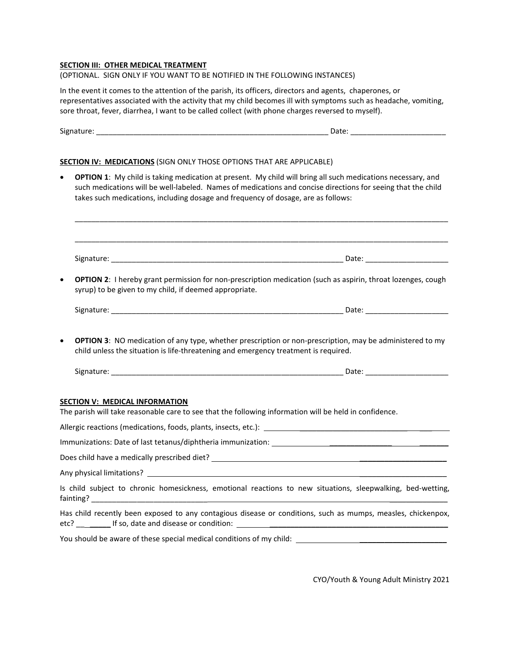#### **SECTION III: OTHER MEDICAL TREATMENT**

#### (OPTIONAL. SIGN ONLY IF YOU WANT TO BE NOTIFIED IN THE FOLLOWING INSTANCES)

In the event it comes to the attention of the parish, its officers, directors and agents, chaperones, or representatives associated with the activity that my child becomes ill with symptoms such as headache, vomiting, sore throat, fever, diarrhea, I want to be called collect (with phone charges reversed to myself).

| <b>SECTION IV: MEDICATIONS (SIGN ONLY THOSE OPTIONS THAT ARE APPLICABLE)</b>                                                                    |                                                                                                                                                                                                                             |
|-------------------------------------------------------------------------------------------------------------------------------------------------|-----------------------------------------------------------------------------------------------------------------------------------------------------------------------------------------------------------------------------|
| takes such medications, including dosage and frequency of dosage, are as follows:                                                               | OPTION 1: My child is taking medication at present. My child will bring all such medications necessary, and<br>such medications will be well-labeled. Names of medications and concise directions for seeing that the child |
|                                                                                                                                                 |                                                                                                                                                                                                                             |
| syrup) to be given to my child, if deemed appropriate.                                                                                          | OPTION 2: I hereby grant permission for non-prescription medication (such as aspirin, throat lozenges, cough                                                                                                                |
|                                                                                                                                                 |                                                                                                                                                                                                                             |
| child unless the situation is life-threatening and emergency treatment is required.                                                             | <b>OPTION 3:</b> NO medication of any type, whether prescription or non-prescription, may be administered to my                                                                                                             |
|                                                                                                                                                 |                                                                                                                                                                                                                             |
| <b>SECTION V: MEDICAL INFORMATION</b><br>The parish will take reasonable care to see that the following information will be held in confidence. |                                                                                                                                                                                                                             |
| Immunizations: Date of last tetanus/diphtheria immunization: ____________________                                                               |                                                                                                                                                                                                                             |
|                                                                                                                                                 |                                                                                                                                                                                                                             |
|                                                                                                                                                 |                                                                                                                                                                                                                             |
|                                                                                                                                                 | Is child subject to chronic homesickness, emotional reactions to new situations, sleepwalking, bed-wetting,                                                                                                                 |
|                                                                                                                                                 | Has child recently been exposed to any contagious disease or conditions, such as mumps, measles, chickenpox,                                                                                                                |
|                                                                                                                                                 |                                                                                                                                                                                                                             |

CYO/Youth & Young Adult Ministry 2021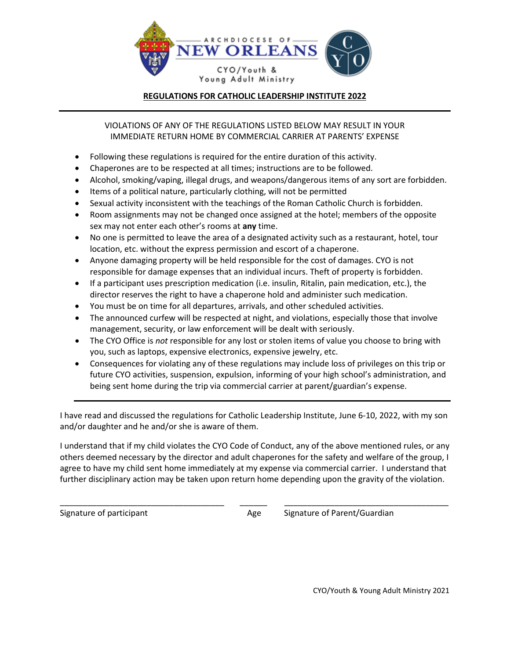

## **REGULATIONS FOR CATHOLIC LEADERSHIP INSTITUTE 2022**

VIOLATIONS OF ANY OF THE REGULATIONS LISTED BELOW MAY RESULT IN YOUR IMMEDIATE RETURN HOME BY COMMERCIAL CARRIER AT PARENTS' EXPENSE

- Following these regulations is required for the entire duration of this activity.
- Chaperones are to be respected at all times; instructions are to be followed.
- Alcohol, smoking/vaping, illegal drugs, and weapons/dangerous items of any sort are forbidden.
- Items of a political nature, particularly clothing, will not be permitted
- Sexual activity inconsistent with the teachings of the Roman Catholic Church is forbidden.
- Room assignments may not be changed once assigned at the hotel; members of the opposite sex may not enter each other's rooms at **any** time.
- No one is permitted to leave the area of a designated activity such as a restaurant, hotel, tour location, etc. without the express permission and escort of a chaperone.
- Anyone damaging property will be held responsible for the cost of damages. CYO is not responsible for damage expenses that an individual incurs. Theft of property is forbidden.
- If a participant uses prescription medication (i.e. insulin, Ritalin, pain medication, etc.), the director reserves the right to have a chaperone hold and administer such medication.
- You must be on time for all departures, arrivals, and other scheduled activities.
- The announced curfew will be respected at night, and violations, especially those that involve management, security, or law enforcement will be dealt with seriously.
- The CYO Office is *not* responsible for any lost or stolen items of value you choose to bring with you, such as laptops, expensive electronics, expensive jewelry, etc.
- Consequences for violating any of these regulations may include loss of privileges on this trip or future CYO activities, suspension, expulsion, informing of your high school's administration, and being sent home during the trip via commercial carrier at parent/guardian's expense.

I have read and discussed the regulations for Catholic Leadership Institute, June 6-10, 2022, with my son and/or daughter and he and/or she is aware of them.

I understand that if my child violates the CYO Code of Conduct, any of the above mentioned rules, or any others deemed necessary by the director and adult chaperones for the safety and welfare of the group, I agree to have my child sent home immediately at my expense via commercial carrier. I understand that further disciplinary action may be taken upon return home depending upon the gravity of the violation.

\_\_\_\_\_\_\_\_\_\_\_\_\_\_\_\_\_\_\_\_\_\_\_\_\_\_\_\_\_\_\_\_\_\_\_\_ \_\_\_\_\_\_ \_\_\_\_\_\_\_\_\_\_\_\_\_\_\_\_\_\_\_\_\_\_\_\_\_\_\_\_\_\_\_\_\_\_\_\_

Signature of participant Age Signature of Parent/Guardian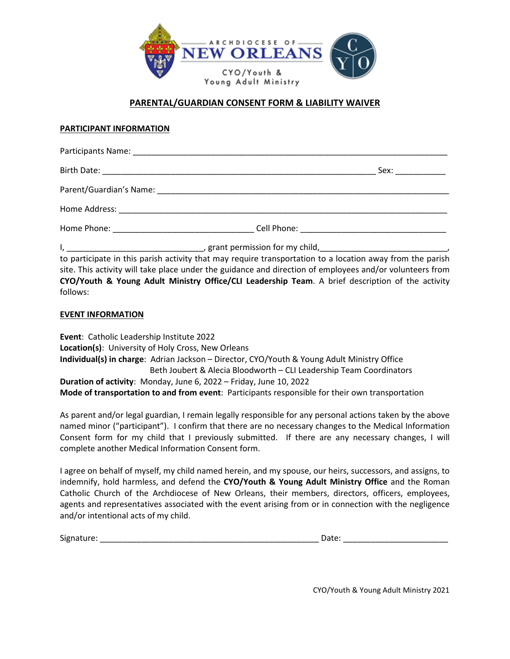

# **PARENTAL/GUARDIAN CONSENT FORM & LIABILITY WAIVER**

### **PARTICIPANT INFORMATION**

| follows: | to participate in this parish activity that may require transportation to a location away from the parish<br>site. This activity will take place under the guidance and direction of employees and/or volunteers from<br>CYO/Youth & Young Adult Ministry Office/CLI Leadership Team. A brief description of the activity |
|----------|---------------------------------------------------------------------------------------------------------------------------------------------------------------------------------------------------------------------------------------------------------------------------------------------------------------------------|

#### **EVENT INFORMATION**

**Event**: Catholic Leadership Institute 2022 **Location(s)**: University of Holy Cross, New Orleans **Individual(s) in charge**: Adrian Jackson – Director, CYO/Youth & Young Adult Ministry Office Beth Joubert & Alecia Bloodworth – CLI Leadership Team Coordinators **Duration of activity**: Monday, June 6, 2022 – Friday, June 10, 2022 **Mode of transportation to and from event**:Participants responsible for their own transportation

As parent and/or legal guardian, I remain legally responsible for any personal actions taken by the above named minor ("participant"). I confirm that there are no necessary changes to the Medical Information Consent form for my child that I previously submitted. If there are any necessary changes, I will complete another Medical Information Consent form.

I agree on behalf of myself, my child named herein, and my spouse, our heirs, successors, and assigns, to indemnify, hold harmless, and defend the **CYO/Youth & Young Adult Ministry Office** and the Roman Catholic Church of the Archdiocese of New Orleans, their members, directors, officers, employees, agents and representatives associated with the event arising from or in connection with the negligence and/or intentional acts of my child.

Signature: \_\_\_\_\_\_\_\_\_\_\_\_\_\_\_\_\_\_\_\_\_\_\_\_\_\_\_\_\_\_\_\_\_\_\_\_\_\_\_\_\_\_\_\_\_\_\_\_ Date: \_\_\_\_\_\_\_\_\_\_\_\_\_\_\_\_\_\_\_\_\_\_\_

CYO/Youth & Young Adult Ministry 2021